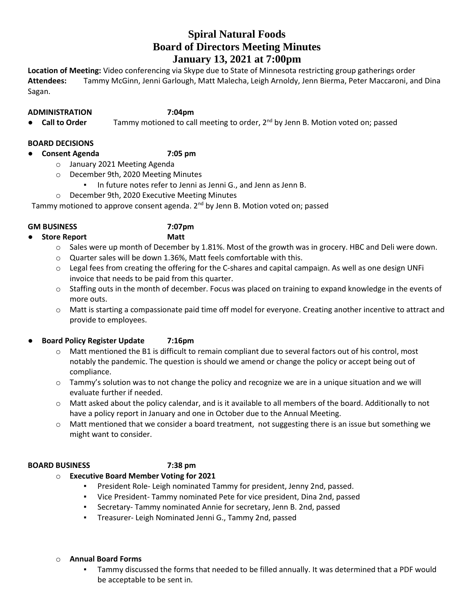# **Spiral Natural Foods Board of Directors Meeting Minutes January 13, 2021 at 7:00pm**

**Location of Meeting:** Video conferencing via Skype due to State of Minnesota restricting group gatherings order **Attendees:** Tammy McGinn, Jenni Garlough, Matt Malecha, Leigh Arnoldy, Jenn Bierma, Peter Maccaroni, and Dina Sagan.

- **ADMINISTRATION 7:04pm**
- **Call to Order** Tammy motioned to call meeting to order, 2<sup>nd</sup> by Jenn B. Motion voted on; passed

### **BOARD DECISIONS**

● **Consent Agenda 7:05 pm**

- o January 2021 Meeting Agenda
- o December 9th, 2020 Meeting Minutes
	- In future notes refer to Jenni as Jenni G., and Jenn as Jenn B.
- o December 9th, 2020 Executive Meeting Minutes

Tammy motioned to approve consent agenda.  $2<sup>nd</sup>$  by Jenn B. Motion voted on; passed

#### **GM BUSINESS 7:07pm**

- **Store Report Matt**
	- $\circ$  Sales were up month of December by 1.81%. Most of the growth was in grocery. HBC and Deli were down.
	- o Quarter sales will be down 1.36%, Matt feels comfortable with this.
	- $\circ$  Legal fees from creating the offering for the C-shares and capital campaign. As well as one design UNFi invoice that needs to be paid from this quarter.
	- o Staffing outs in the month of december. Focus was placed on training to expand knowledge in the events of more outs.
	- o Matt is starting a compassionate paid time off model for everyone. Creating another incentive to attract and provide to employees.
- **Board Policy Register Update 7:16pm**
	- o Matt mentioned the B1 is difficult to remain compliant due to several factors out of his control, most notably the pandemic. The question is should we amend or change the policy or accept being out of compliance.
	- $\circ$  Tammy's solution was to not change the policy and recognize we are in a unique situation and we will evaluate further if needed.
	- o Matt asked about the policy calendar, and is it available to all members of the board. Additionally to not have a policy report in January and one in October due to the Annual Meeting.
	- o Matt mentioned that we consider a board treatment, not suggesting there is an issue but something we might want to consider.

#### **BOARD BUSINESS 7:38 pm**

## o **Executive Board Member Voting for 2021**

- President Role- Leigh nominated Tammy for president, Jenny 2nd, passed.
- Vice President- Tammy nominated Pete for vice president, Dina 2nd, passed
- Secretary- Tammy nominated Annie for secretary, Jenn B. 2nd, passed
- Treasurer- Leigh Nominated Jenni G., Tammy 2nd, passed

#### o **Annual Board Forms**

▪ Tammy discussed the forms that needed to be filled annually. It was determined that a PDF would be acceptable to be sent in.